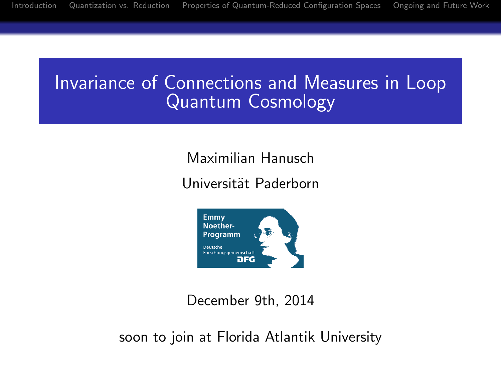## Invariance of Connections and Measures in Loop Quantum Cosmology

Maximilian Hanusch

Universität Paderborn



December 9th, 2014

soon to join at Florida Atlantik University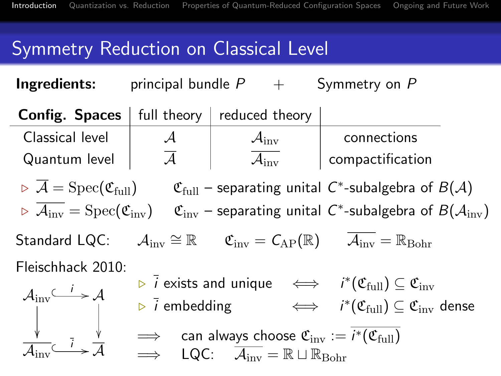# Symmetry Reduction on Classical Level

**Ingredients:** principal bundle  $P + S$ ymmetry on P

<span id="page-1-0"></span>**Config. Spaces** full theory reduced theory Classical level  $\begin{vmatrix} \mathcal{A} & \mathcal{A}\end{vmatrix}$   $\begin{vmatrix} \mathcal{A}\end{vmatrix}$  connections Quantum level  $\begin{vmatrix} & {\mathcal A} & \end{vmatrix}$   ${\mathcal A}_{\rm inv}$  compactification  $\triangleright \overline{\mathcal{A}}=\mathrm{Spec}(\mathfrak{C}_{\mathrm{full}})$   $\mathfrak{C}_{\mathrm{full}}$  – separating unital  $\mathcal{C}^*$ -subalgebra of  $B(\mathcal{A})$  $\triangleright$   $\overline{{\cal A}_{\rm inv}} = {\rm Spec}({\frak C}_{\rm inv})$   $\quad$   ${\frak C}_{\rm inv}$  – separating unital  ${\cal C}^*$ -subalgebra of  $B({\cal A}_{\rm inv})$ Standard LQC:  $\mathcal{A}_{\text{inv}} \cong \mathbb{R}$   $\mathfrak{C}_{\text{inv}} = \mathcal{C}_{AP}(\mathbb{R})$   $\overline{\mathcal{A}_{\text{inv}}} = \mathbb{R}_{\text{Bohr}}$ Fleischhack 2010:  $\mathcal{A}_{\rm inv} \overset{i}{\longleftrightarrow} \mathcal{A}$  $\frac{1}{2}$  $\frac{1}{2}$  $\mathcal{A}_{\rm inv}$  $\stackrel{\overline{i}}{\longrightarrow} \frac{\cdot}{\mathcal{A}}$  $\triangleright$   $\vec{i}$  exists and unique  $\quad \Longleftrightarrow \quad i^*(\mathfrak{C}_{\text{full}}) \subseteq \mathfrak{C}_{\text{inv}}$  $\triangleright$   $\vec{i}$  embedding  $\qquad\iff\quad i^*(\mathfrak{C}_{\text{full}}) \subseteq \mathfrak{C}_{\text{inv}}$  dense  $\implies$  can always choose  ${\mathfrak C}_{\rm inv}:=i^*({\mathfrak C}_{\rm full})$  $\implies$  LQC:  $\overline{\mathcal{A}_{inv}} = \mathbb{R} \sqcup \mathbb{R}_{Bohr}$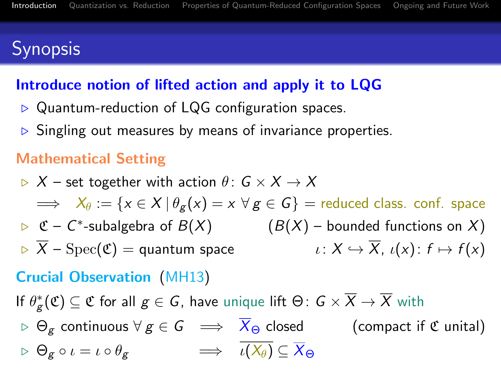# **Synopsis**

## Introduce notion of lifted action and apply it to LQG

- $\triangleright$  Quantum-reduction of LQG configuration spaces.
- $\triangleright$  Singling out measures by means of invariance properties.

## Mathematical Setting

 $\triangleright$  X – set together with action  $\theta: G \times X \rightarrow X$  $\Rightarrow X_{\theta} := \{x \in X \mid \theta_{\varphi}(x) = x \,\forall \, g \in G\}$  = reduced class. conf. space  $\triangleright$   $\mathfrak{C}$  –  $\mathfrak{C}^*$  $(B(X)$  – bounded functions on X)  $\overline{X}$  – Spec(C) = quantum space  $\iota: X \hookrightarrow \overline{X}$ ,  $\iota(x): f \mapsto f(x)$ 

## Crucial Observation (MH13)

If  $\theta_{\mathcal{g}}^{*}(\mathfrak{C})\subseteq\mathfrak{C}$  for all  $g\in\mathsf{G}$ , have unique lift  $\Theta\colon\mathsf{G}\times\overline{X}\to\overline{X}$  with

 $\triangleright \Theta_{\epsilon}$  continuous  $\forall g \in G \implies \overline{X}_{\Theta}$  closed (compact if  $\mathfrak C$  unital)  $\triangleright \Theta_{\sigma} \circ \iota = \iota \circ \theta_{\sigma} \qquad \Longrightarrow \qquad \overline{\iota(X_{\theta})} \subset \overline{X}_{\Theta}$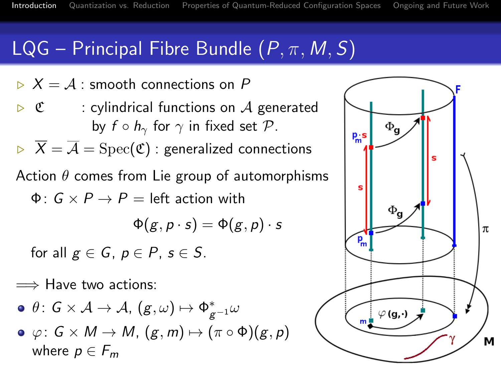## $LQG$  – Principal Fibre Bundle  $(P, \pi, M, S)$

- $\triangleright$   $X = A$ : smooth connections on P
- $\triangleright$  C : cylindrical functions on A generated by  $f \circ h_{\gamma}$  for  $\gamma$  in fixed set  $\mathcal{P}$ .
- $\triangleright \overline{X} = \overline{A} = \text{Spec}(\mathfrak{C})$ : generalized connections
- Action  $\theta$  comes from Lie group of automorphisms
	- $\Phi: G \times P \rightarrow P =$  left action with

$$
\Phi(g, p \cdot s) = \Phi(g, p) \cdot s
$$

for all  $g \in G$ ,  $p \in P$ ,  $s \in S$ .

 $\implies$  Have two actions:

$$
\bullet\,\, \theta\colon G\times\mathcal{A}\to\mathcal{A}, \, (g,\omega)\mapsto \Phi_{g^{-1}}^*\omega
$$

 $\bullet \varphi: G \times M \to M$ ,  $(g, m) \mapsto (\pi \circ \Phi)(g, p)$ where  $p \in F_m$ 

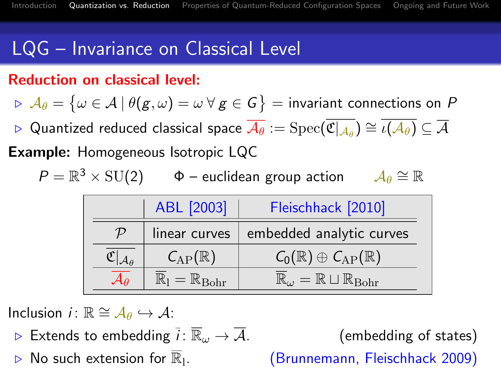# LQG – Invariance on Classical Level

### Reduction on classical level:

 $\triangleright \hspace*{0.2em} {\mathcal A}_\theta = \big\{\omega \in {\mathcal A} \hspace{0.2em}|\hspace{0.2em} \theta(g,\omega) = \omega \hspace{0.2em} \forall \hspace{0.2em} g \in {\mathcal G}\big\} = \text{invariant connections on } \hspace{0.2em} {\mathcal B}$ 

 $\triangleright$   $\vee$  Quantized reduced classical space  $\overline{\mathcal{A}_\theta}:=\mathrm{Spec}(\overline{\mathfrak{C}|_{\mathcal{A}_\theta}})\cong \overline{\iota(\mathcal{A}_\theta)}\subseteq \overline{\mathcal{A}}$ 

Example: Homogeneous Isotropic LQC

$$
P = \mathbb{R}^3 \times \text{SU(2)} \qquad \Phi - \text{euclidean group action} \qquad \mathcal{A}_{\theta} \cong \mathbb{R}
$$

|    | ABL [2003]                     | Fleischhack [2010]                                             |
|----|--------------------------------|----------------------------------------------------------------|
| 'L | linear curves                  | embedded analytic curves                                       |
|    | $\mathcal{C}_{AP}(\mathbb{R})$ | $\mathcal{C}_0(\mathbb{R})\oplus \mathcal{C}_{AP}(\mathbb{R})$ |
|    | $=\mathbb{R}_{\text{Bohr}}$    | $=\mathbb{R} \sqcup \mathbb{R}_{\text{Bohr}}$                  |

Inclusion *i* :  $\mathbb{R} \cong A_{\theta} \hookrightarrow A$ :

- Extends to embedding  $\overline{i}$ :  $\overline{\mathbb{R}}_{\omega} \to \overline{\mathcal{A}}$ . (embedding of states)
- <span id="page-4-0"></span>No such extension for  $\mathbb{R}_1$ .

. (Brunnemann, Fleischhack 2009)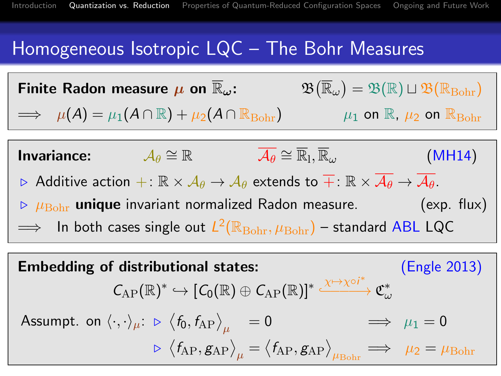## Homogeneous Isotropic LQC – The Bohr Measures

|                                                                                                                                                                                                                | Finite Radon measure $\mu$ on $\mathbb{R}_{\omega}$ :                                                                                                        | $\mathfrak{B}(\overline{\mathbb{R}}_{\omega})=\mathfrak{B}(\mathbb{R})\sqcup \mathfrak{B}(\mathbb{R}_{\text{Bohr}})$ |                                                                 |
|----------------------------------------------------------------------------------------------------------------------------------------------------------------------------------------------------------------|--------------------------------------------------------------------------------------------------------------------------------------------------------------|----------------------------------------------------------------------------------------------------------------------|-----------------------------------------------------------------|
|                                                                                                                                                                                                                | $\implies$ $\mu(A) = \mu_1(A \cap \mathbb{R}) + \mu_2(A \cap \mathbb{R}_{\text{Bohr}})$                                                                      |                                                                                                                      | $\mu_1$ on $\mathbb{R}$ , $\mu_2$ on $\mathbb{R}_{\text{Bohr}}$ |
|                                                                                                                                                                                                                |                                                                                                                                                              |                                                                                                                      |                                                                 |
|                                                                                                                                                                                                                | <b>Invariance:</b> $\mathcal{A}_{\theta} \cong \mathbb{R}$                                                                                                   | $\overline{\mathcal{A}_{\theta}} \cong \overline{\mathbb{R}}_1, \overline{\mathbb{R}}_{\omega}$                      | (MH14)                                                          |
| $\triangleright$ Additive action $+:\mathbb{R}\times\mathcal{A}_{\theta}\to\mathcal{A}_{\theta}$ extends to $\overline{+}:\mathbb{R}\times\overline{\mathcal{A}_{\theta}}\to\overline{\mathcal{A}_{\theta}}$ . |                                                                                                                                                              |                                                                                                                      |                                                                 |
| $\triangleright$ $\mu_{\text{Bohr}}$ unique invariant normalized Radon measure. (exp. flux)                                                                                                                    |                                                                                                                                                              |                                                                                                                      |                                                                 |
| $\implies$ In both cases single out $L^2(\mathbb{R}_{\text{Bohr}}, \mu_{\text{Bohr}})$ – standard ABL LQC                                                                                                      |                                                                                                                                                              |                                                                                                                      |                                                                 |
|                                                                                                                                                                                                                |                                                                                                                                                              |                                                                                                                      |                                                                 |
| <b>Embedding of distributional states:</b><br>(Engle 2013)                                                                                                                                                     |                                                                                                                                                              |                                                                                                                      |                                                                 |
|                                                                                                                                                                                                                | $C_{AP}(\mathbb{R})^* \hookrightarrow [C_0(\mathbb{R}) \oplus C_{AP}(\mathbb{R})]^* \stackrel{\chi \mapsto \chi \circ i^*}{\longrightarrow} \mathfrak{C}^*.$ |                                                                                                                      |                                                                 |

Assumpt. on 
$$
\langle \cdot, \cdot \rangle_{\mu}
$$
:  $\triangleright \langle f_0, f_{AP} \rangle_{\mu} = 0 \implies \mu_1 = 0$   
 $\triangleright \langle f_{AP}, g_{AP} \rangle_{\mu} = \langle f_{AP}, g_{AP} \rangle_{\mu_{Bohr}} \implies \mu_2 = \mu_{Bohr}$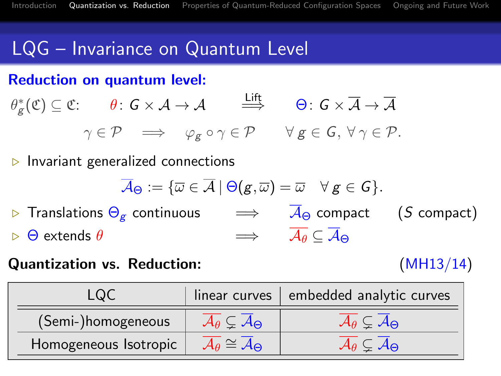## LQG – Invariance on Quantum Level

#### Reduction on quantum level:

$$
\theta_g^*(\mathfrak{C}) \subseteq \mathfrak{C}: \qquad \theta \colon G \times \mathcal{A} \to \mathcal{A} \qquad \stackrel{\text{Liff}}{\Longrightarrow} \qquad \Theta \colon G \times \overline{\mathcal{A}} \to \overline{\mathcal{A}}
$$

$$
\gamma \in \mathcal{P} \qquad \Longrightarrow \qquad \varphi_g \circ \gamma \in \mathcal{P} \qquad \forall g \in \mathcal{G}, \ \forall \ \gamma \in \mathcal{P}.
$$

 $\triangleright$  Invariant generalized connections

$$
\overline{\mathcal{A}}_{\Theta}:=\{\overline{\omega}\in\overline{\mathcal{A}}\ |\ \Theta(g,\overline{\omega})=\overline{\omega}\quad \forall\ g\in\mathcal{G}\}.
$$

**Example 15** Translations  $\Theta_{\mathbf{g}}$  continuous  $\implies$   $\overline{A}_{\Theta}$  compact (S compact)  $\triangleright$  Θ extends θ  $\implies$   $\overline{\mathcal{A}_{\theta}} \subset \overline{\mathcal{A}}_{\Theta}$ 

#### Quantization vs. Reduction: (MH13/14)

| LQC                   |                                                        | linear curves   embedded analytic curves              |  |
|-----------------------|--------------------------------------------------------|-------------------------------------------------------|--|
| (Semi-)homogeneous    | $\mathcal{A}_{\theta} \subsetneq \mathcal{A}_{\Theta}$ | $\mathcal{A}_{\theta} \subseteq \mathcal{A}_{\Theta}$ |  |
| Homogeneous Isotropic | $\mathcal{A}_{\theta} \cong \mathcal{A}_{\Theta}$      | $\mathcal{A}_\theta \subsetneq \mathcal{A}_\Theta$    |  |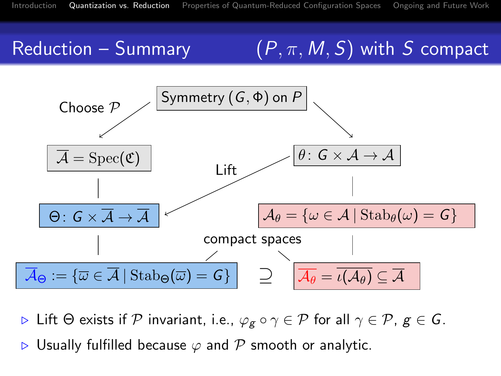# Reduction – Summary  $(P, \pi, M, S)$  with S compact



 $\triangleright$  Lift  $\Theta$  exists if  $\mathcal P$  invariant, i.e.,  $\varphi_g \circ \gamma \in \mathcal P$  for all  $\gamma \in \mathcal P$ ,  $g \in \mathcal G$ .

Usually fulfilled because  $\varphi$  and  $\mathcal P$  smooth or analytic.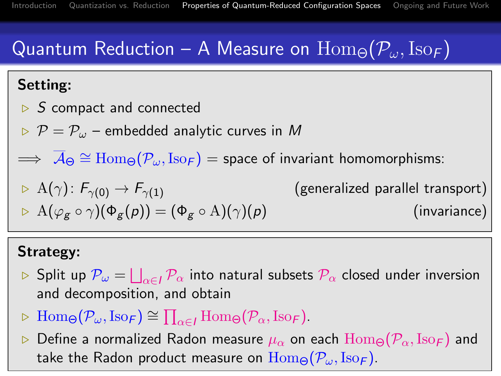# Quantum Reduction – A Measure on  $\text{Hom}_{\Theta}(\mathcal{P}_{\omega},\text{Iso}_{\mathcal{F}})$

## Setting:

- $\triangleright$  S compact and connected
- $\triangleright$   $\mathcal{P} = \mathcal{P}_{\omega}$  embedded analytic curves in M
- $\implies \overline{{\cal A}}_\Theta \cong \operatorname{Hom}_\Theta({\cal P}_\omega,\operatorname{Iso}_{\bm{\digamma}}) =$  space of invariant homomorphisms:

$$
\triangleright A(\gamma): F_{\gamma(0)} \to F_{\gamma(1)}
$$
 (generalized parallel transport)  

$$
\triangleright A(\varphi_g \circ \gamma)(\Phi_g(\rho)) = (\Phi_g \circ A)(\gamma)(\rho)
$$
 (invariance)

### Strategy:

- $\rhd$  Split up  $\mathcal{P}_\omega=\bigsqcup_{\alpha\in I}\mathcal{P}_\alpha$  into natural subsets  $\mathcal{P}_\alpha$  closed under inversion and decomposition, and obtain
- $\triangleright \text{Hom}_{\Theta}(\mathcal{P}_{\omega}, \text{Iso}_{\mathcal{F}}) \cong \prod_{\alpha \in I} \text{Hom}_{\Theta}(\mathcal{P}_{\alpha}, \text{Iso}_{\mathcal{F}}).$

<span id="page-8-0"></span>Define a normalized Radon measure  $\mu_{\alpha}$  on each  $\text{Hom}_{\Theta}(\mathcal{P}_{\alpha},\text{Iso}_{F})$  and take the Radon product measure on  $\text{Hom}_{\Theta}(\mathcal{P}_{\omega},\text{Iso}_{\mathcal{F}})$ .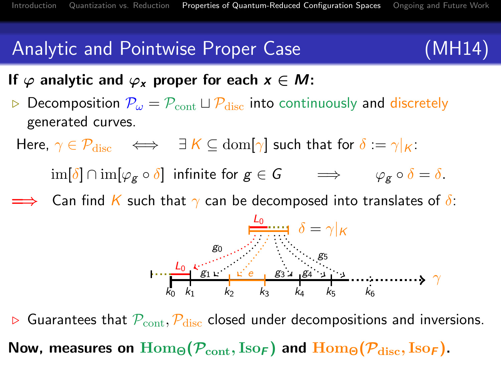## Analytic and Pointwise Proper Case (MH14)

If  $\varphi$  analytic and  $\varphi_x$  proper for each  $x \in M$ :

 $\triangleright$  Decomposition  $P_{\omega} = P_{\text{cont}} \sqcup P_{\text{disc}}$  into continuously and discretely generated curves.

Here,  $\gamma \in \mathcal{P}_{disc} \iff \exists K \subseteq \text{dom}[\gamma]$  such that for  $\delta := \gamma|_K$ :

 $\lim[\delta] \cap \lim[\varphi_{\mathcal{E}} \circ \delta]$  infinite for  $g \in G$   $\implies$   $\varphi_{\mathcal{E}} \circ \delta = \delta$ .

 $\implies$  Can find K such that  $\gamma$  can be decomposed into translates of  $\delta$ :



 $\triangleright$  Guarantees that  $\mathcal{P}_{\text{cont}}$ ,  $\mathcal{P}_{\text{disc}}$  closed under decompositions and inversions. Now, measures on  $\text{Hom}_{\Theta}(\mathcal{P}_{\text{cont}}, \text{Iso}_{F})$  and  $\text{Hom}_{\Theta}(\mathcal{P}_{\text{disc}}, \text{Iso}_{F})$ .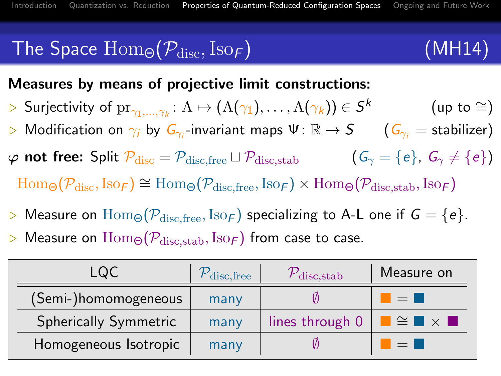# The Space  $\text{Hom}_{\Theta}(\mathcal{P}_{\text{disc}},\text{Iso}_{F})$  (MH14)

### Measures by means of projective limit constructions:

- $\triangleright$  Surjectivity of  $\mathrm{pr}_{\gamma_1,...,\gamma_k} \colon \mathrm{A} \mapsto (\mathrm{A}(\gamma_1),\dots,\mathrm{A}(\gamma_k)) \in \mathcal{S}^k$  (up to  $\cong$ )
- $\triangleright$  Modification on  $\gamma_i$  by  $G_{\gamma_i}$ -invariant maps  $\Psi\colon \R\to S$   $\quad$   $\big(G_{\gamma_i} = \text{stabilizer}\big)$
- $\varphi$  not free: Split  $\mathcal{P}_{disc} = \mathcal{P}_{disc,free} \sqcup \mathcal{P}_{disc,stab}$  (G<sub> $\gamma = \{e\}, G_{\gamma} \neq \{e\}$ )</sub>  $\text{Hom}_{\Theta}(\mathcal{P}_{\text{disc}},\text{Iso}_{\mathcal{F}}) \cong \text{Hom}_{\Theta}(\mathcal{P}_{\text{disc-free}},\text{Iso}_{\mathcal{F}}) \times \text{Hom}_{\Theta}(\mathcal{P}_{\text{disc},\text{stab}},\text{Iso}_{\mathcal{F}})$
- $\triangleright$  Measure on  $\text{Hom}_{\Theta}(\mathcal{P}_{\text{disc,free}},\text{Iso}_{\mathcal{F}})$  specializing to A-L one if  $G = \{e\}.$  $\triangleright$  Measure on  $\text{Hom}_{\Theta}(\mathcal{P}_{\text{disc,stab}},\text{Iso}_{F})$  from case to case.

| LQC                   | $\mathcal{P}_{\rm disc,free}$ | $\mathcal{V}_{\rm disc,stab}$ | Measure on                                                    |
|-----------------------|-------------------------------|-------------------------------|---------------------------------------------------------------|
| (Semi-)homomogeneous  | many                          |                               | $=$ $\Box$                                                    |
| Spherically Symmetric | many                          | lines through 0               | $\blacksquare$ $\cong$ $\blacksquare$ $\times$ $\blacksquare$ |
| Homogeneous Isotropic | many                          |                               | $=$ $\blacksquare$                                            |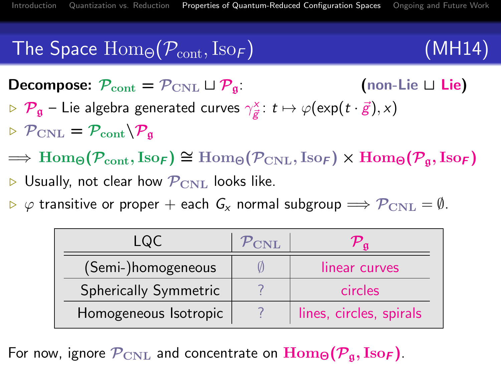# The Space  $\text{Hom}_{\Theta}(\mathcal{P}_{\text{cont}}, \text{Iso}_{F})$  (MH14)

**Decompose:**  $\mathcal{P}_{\text{cont}} = \mathcal{P}_{\text{CNL}} \sqcup \mathcal{P}_{\mathfrak{q}}$  (non-Lie  $\sqcup$  Lie)  $\triangleright$   $\mathcal{P}_\mathfrak{g}$  – Lie algebra generated curves  $\gamma_{\vec{g}}^\times\colon t\mapsto \varphi(\exp(t\cdot\vec{g}),x)$  $P_{\text{CNL}} = P_{\text{cont}} \backslash P_{\text{a}}$ 

- $\Rightarrow$  Hom<sub> $\Theta$ </sub> $(\mathcal{P}_{cont}, \text{Iso}_F) \cong$  Hom $_{\Theta}$  $(\mathcal{P}_{CNL}, \text{Iso}_F) \times$  Hom $_{\Theta}$  $(\mathcal{P}_{\mathfrak{a}}, \text{Iso}_F)$
- $\triangleright$  Usually, not clear how  $\mathcal{P}_{\rm CNL}$  looks like.
- $\triangleright \varphi$  transitive or proper + each  $G_x$  normal subgroup  $\Longrightarrow \mathcal{P}_{\text{CNL}} = \emptyset$ .

| LQC                   | $\mathcal{P}_{\rm CNL}$ |                         |
|-----------------------|-------------------------|-------------------------|
| (Semi-)homogeneous    |                         | linear curves           |
| Spherically Symmetric |                         | circles                 |
| Homogeneous Isotropic |                         | lines, circles, spirals |

For now, ignore  $\mathcal{P}_{\text{CNL}}$  and concentrate on  $\text{Hom}_{\Theta}(\mathcal{P}_{\mathfrak{a}}, \text{Iso}_{\mathbf{F}})$ .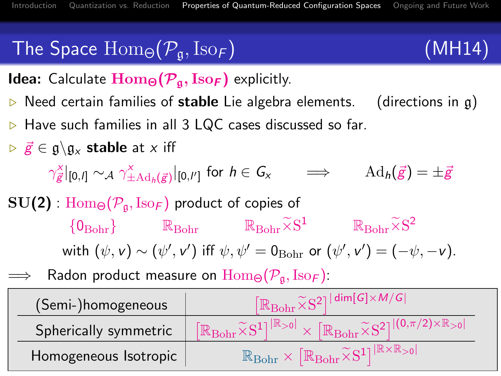# The Space  $\text{Hom}_{\Theta}(\mathcal{P}_{\mathfrak{a}},\text{Iso}_{\mathcal{F}})$  (MH14)

**Idea:** Calculate  $\text{Hom}_{\Theta}(\mathcal{P}_{\mathfrak{g}}, \text{Iso}_{\mathsf{F}})$  explicitly.

- $\triangleright$  Need certain families of stable Lie algebra elements. (directions in g)
- . Have such families in all 3 LQC cases discussed so far.
- $\triangleright$   $\vec{g} \in \mathfrak{g} \backslash \mathfrak{g}_x$  stable at x iff

 $\gamma_{\vec{\mathcal{g}}}|_{[0,l]} \sim_\mathcal{A} \gamma_{\pm \mathrm{Ad}_h(\vec{\mathcal{g}})}^\times|_{[0,l']}$  for  $h \in \mathsf{G}_\mathsf{x} \qquad \Longrightarrow \qquad \mathrm{Ad}_h(\vec{\mathcal{g}}) = \pm \bar{\mathcal{g}}$ 

- $SU(2)$ :  $Hom_{\Theta}(\mathcal{P}_{\alpha},\mathrm{Iso}_{F})$  product of copies of  ${0}_{\text{Bohr}}$  R<sub>Bohr</sub> R<sub>Bohr</sub>  $\widetilde{\times} S^1$  R<sub>Bohr</sub> $\widetilde{\times} S^2$ with  $(\psi, \mathsf{v}) \sim (\psi', \mathsf{v}')$  iff  $\psi, \psi' = \mathsf{0}_{\text{Bohr}}$  or  $(\psi', \mathsf{v}') = (-\psi, -\mathsf{v})$ .
- Radon product measure on  $\text{Hom}_{\Theta}(\mathcal{P}_{\alpha},\text{Iso}_{F})$ :

| (Semi-)homogeneous    | $\mathbb{R}_{\text{Bohr}}\widetilde{\times} \mathrm{S}^{2}]^{\mid\mathsf{dim}[\mathsf{G}]\times \mathsf{M}/\mathsf{G}\mid}$                                                                                           |  |  |
|-----------------------|-----------------------------------------------------------------------------------------------------------------------------------------------------------------------------------------------------------------------|--|--|
| Spherically symmetric | $\lceil \mathbb{R}_{\text{Bohr}} \widetilde{\times} S^1 \rceil^{\lceil \mathbb{R}_{>0} \rceil} \times \lceil \mathbb{R}_{\text{Bohr}} \widetilde{\times} S^2 \rceil^{\lceil (0,\pi/2) \times \mathbb{R}_{>0} \rceil}$ |  |  |
| Homogeneous Isotropic | $\mathbb{R}_{\text{Bohr}} \times \big[\mathbb{R}_{\text{Bohr}} \widetilde{\times} \mathrm{S}^1]^{\vert \mathbb{R} \times \mathbb{R}_{>0} \vert}$                                                                      |  |  |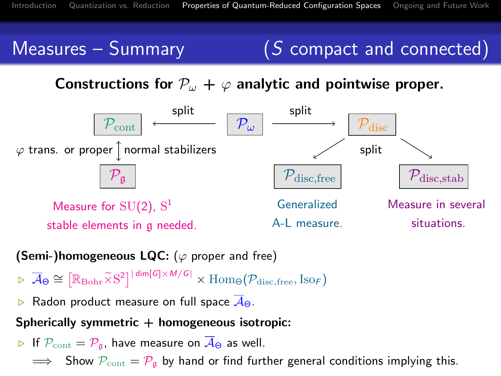## Measures – Summary  $(S \text{ compact and connected})$

## Constructions for  $P_{\omega} + \varphi$  analytic and pointwise proper.



#### (Semi-)homogeneous LQC: ( $\varphi$  proper and free)

- $\triangleright \overline{\mathcal{A}}_{\Theta} \cong \left[ \mathbb{R}_{\text{Bohr}} \widetilde{\times} S^2 \right]^{|\dim[G] \times M/G|} \times \text{Hom}_{\Theta}(\mathcal{P}_{\text{disc,free}}, \text{Iso}_{\mathcal{F}})$
- **E.** Radon product measure on full space  $\overline{A}_{\Theta}$ .

#### Spherically symmetric  $+$  homogeneous isotropic:

- $\triangleright$  If  $\mathcal{P}_{\text{cont}} = \mathcal{P}_{\mathfrak{g}}$ , have measure on  $\overline{\mathcal{A}}_{\Theta}$  as well.
	- $\implies$  Show  $P_{\text{cont}} = P_{\text{g}}$  by hand or find further general conditions implying this.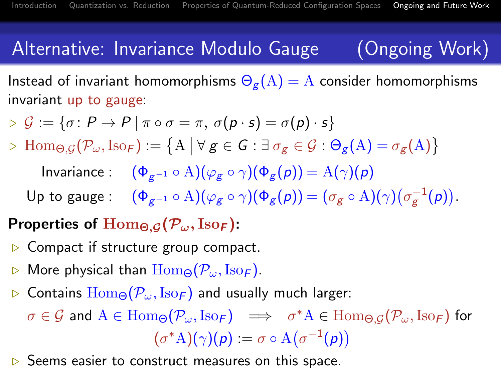## Alternative: Invariance Modulo Gauge (Ongoing Work)

Instead of invariant homomorphisms  $\Theta_{\mathfrak{g}}(A) = A$  consider homomorphisms invariant up to gauge:

- $\triangleright \mathcal{G} := \{ \sigma \colon P \to P \mid \pi \circ \sigma = \pi, \, \sigma(p \cdot s) = \sigma(p) \cdot s \}$
- $\triangleright \text{Hom}_{\Theta, \mathcal{G}}(\mathcal{P}_{\omega}, \text{Iso}_{\mathcal{F}}) := \{ A \mid \forall g \in \mathcal{G} : \exists \sigma_g \in \mathcal{G} : \Theta_g(A) = \sigma_g(A) \}$

Invariance :  $(\Phi_{g^{-1}} \circ A)(\varphi_g \circ \gamma)(\Phi_g(p)) = A(\gamma)(p)$ 

Up to gauge :  $(\Phi_{g^{-1}} \circ A)(\varphi_g \circ \gamma)(\Phi_g(p)) = (\sigma_g \circ A)(\gamma)(\sigma_g^{-1}(p)).$ 

## Properties of  $\text{Hom}_{\Theta,G}(\mathcal{P}_{\omega}, \text{Iso}_F)$ :

- $\triangleright$  Compact if structure group compact.
- $\triangleright$  More physical than  $\text{Hom}_{\Theta}(\mathcal{P}_{\omega},\text{Iso}_{\mathcal{F}})$ .
- $\triangleright$  Contains  $\text{Hom}_{\Theta}(\mathcal{P}_{\omega},\text{Iso}_{\mathcal{F}})$  and usually much larger:

 $\sigma\in\mathcal{G}$  and  $\mathrm{A}\in\mathrm{Hom}_{\Theta}(\mathcal{P}_\omega,\mathrm{Iso}_{\mathcal{F}})\ \implies\ \ \sigma^*\mathrm{A}\in\mathrm{Hom}_{\Theta,\mathcal{G}}(\mathcal{P}_\omega,\mathrm{Iso}_{\mathcal{F}})$  for  $(\sigma^* A)(\gamma)(\rho) := \sigma \circ A(\sigma^{-1}(\rho))$ 

<span id="page-14-0"></span> $\triangleright$  Seems easier to construct measures on this space.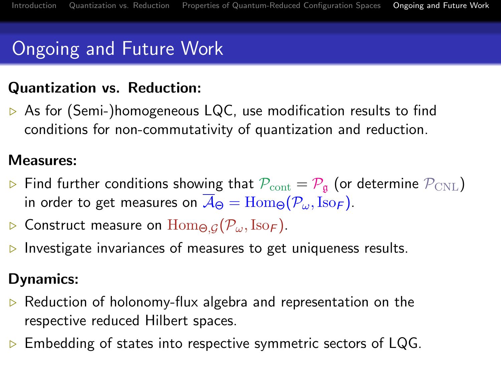# Ongoing and Future Work

## Quantization vs. Reduction:

 $\triangleright$  As for (Semi-)homogeneous LQC, use modification results to find conditions for non-commutativity of quantization and reduction.

### Measures:

- $\triangleright$  Find further conditions showing that  $\mathcal{P}_{\text{cont}} = \mathcal{P}_{\text{g}}$  (or determine  $\mathcal{P}_{\text{CNL}}$ ) in order to get measures on  $\overline{A}_{\Theta} = \text{Hom}_{\Theta}(\mathcal{P}_{\omega}, \text{Iso}_{\mathcal{F}})$ .
- **D** Construct measure on  $\text{Hom}_{\Theta,G}(\mathcal{P}_{\omega},\text{Iso}_F)$ .
- $\triangleright$  Investigate invariances of measures to get uniqueness results.

## Dynamics:

- $\triangleright$  Reduction of holonomy-flux algebra and representation on the respective reduced Hilbert spaces.
- $\triangleright$  Embedding of states into respective symmetric sectors of LQG.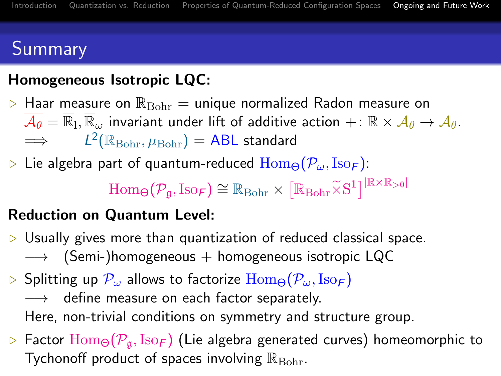# Summary

## Homogeneous Isotropic LQC:

- $\triangleright$  Haar measure on  $\mathbb{R}_{\text{Bohr}} =$  unique normalized Radon measure on  $\overline{\mathcal{A}_\theta}=\overline{\mathbb{R}}_l, \overline{\mathbb{R}}_\omega$  invariant under lift of additive action  $+ \colon \mathbb{R}\times \mathcal{A}_\theta\to \mathcal{A}_\theta.$  $\implies$  $^{2}(\mathbb{R}_{\text{Bohr}}, \mu_{\text{Bohr}}) = \textsf{ABL}$  standard
- $\triangleright$  Lie algebra part of quantum-reduced  $\text{Hom}_{\Theta}(\mathcal{P}_{\omega},\text{Iso}_{\mathcal{F}})$ :

 $\mathrm{Hom}_{\Theta}(\mathcal{P}_{\mathfrak{g}},\mathrm{Iso}_{\mathcal{F}}) \cong \mathbb{R}_{\mathrm{Bohr}} \times \left[\mathbb{R}_{\mathrm{Bohr}} \widetilde{\times} \mathrm{S}^1\right]^{\left|\mathbb{R} \times \mathbb{R}_{>0}\right|}$ 

## Reduction on Quantum Level:

- $\triangleright$  Usually gives more than quantization of reduced classical space.  $\longrightarrow$  (Semi-)homogeneous + homogeneous isotropic LQC
- $\triangleright$  Splitting up  $\mathcal{P}_{\omega}$  allows to factorize  $\text{Hom}_{\Theta}(\mathcal{P}_{\omega},\text{Iso}_{\mathcal{F}})$ → define measure on each factor separately. Here, non-trivial conditions on symmetry and structure group.
- $\triangleright$  Factor  $\text{Hom}_{\Theta}(\mathcal{P}_{\mathfrak{a}},\text{Iso}_{\mathcal{F}})$  (Lie algebra generated curves) homeomorphic to Tychonoff product of spaces involving  $\mathbb{R}_{\text{Bohr}}$ .